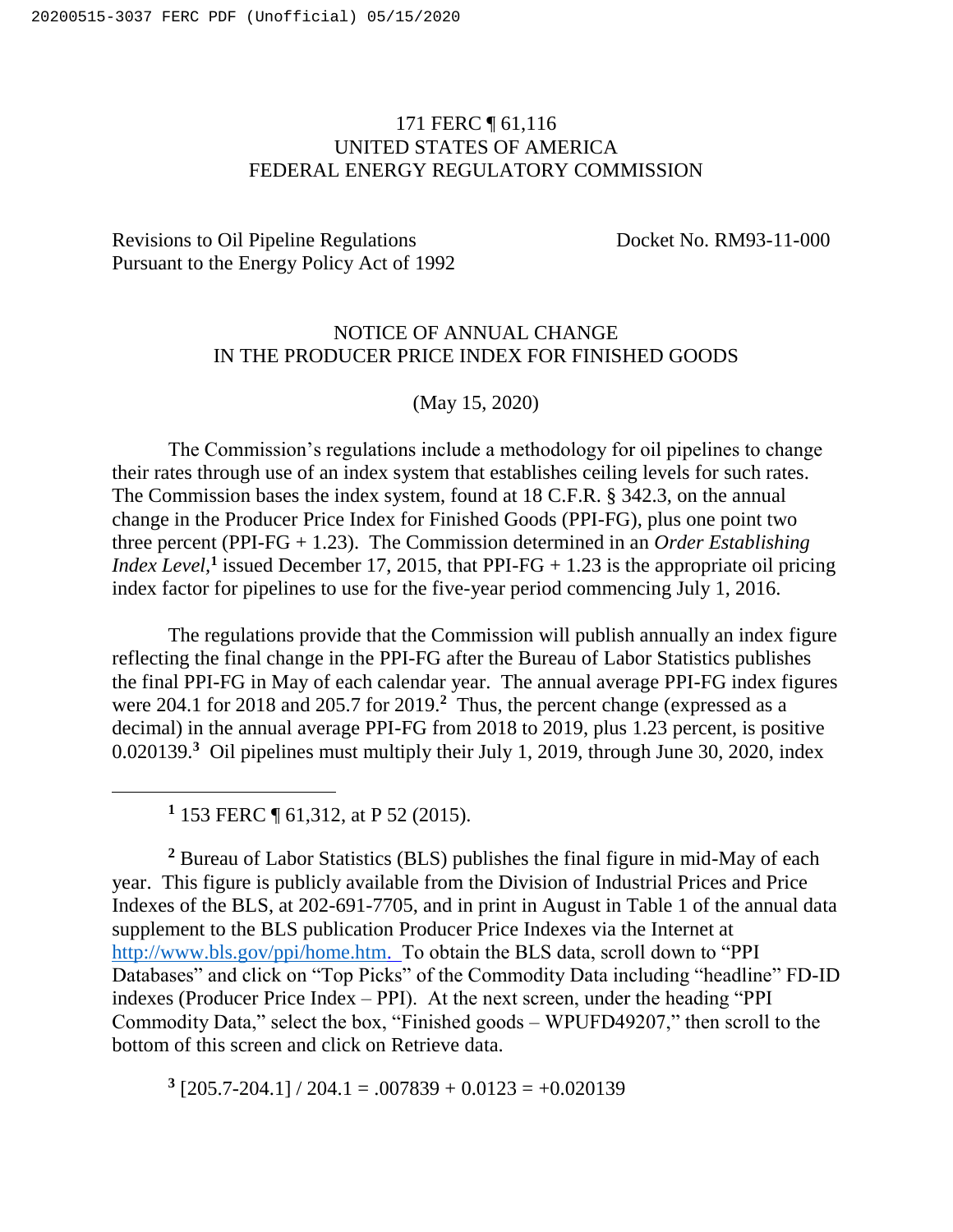## 171 FERC ¶ 61,116 UNITED STATES OF AMERICA FEDERAL ENERGY REGULATORY COMMISSION

## Revisions to Oil Pipeline Regulations Docket No. RM93-11-000 Pursuant to the Energy Policy Act of 1992

## NOTICE OF ANNUAL CHANGE IN THE PRODUCER PRICE INDEX FOR FINISHED GOODS

(May 15, 2020)

The Commission's regulations include a methodology for oil pipelines to change their rates through use of an index system that establishes ceiling levels for such rates. The Commission bases the index system, found at 18 C.F.R. § 342.3, on the annual change in the Producer Price Index for Finished Goods (PPI-FG), plus one point two three percent (PPI-FG + 1.23). The Commission determined in an *Order Establishing Index Level*,<sup>1</sup> issued December 17, 2015, that PPI-FG  $+$  1.23 is the appropriate oil pricing index factor for pipelines to use for the five-year period commencing July 1, 2016.

The regulations provide that the Commission will publish annually an index figure reflecting the final change in the PPI-FG after the Bureau of Labor Statistics publishes the final PPI-FG in May of each calendar year. The annual average PPI-FG index figures were 204.1 for 2018 and 205.7 for 2019.**<sup>2</sup>** Thus, the percent change (expressed as a decimal) in the annual average PPI-FG from 2018 to 2019, plus 1.23 percent, is positive 0.020139.<sup>3</sup> Oil pipelines must multiply their July 1, 2019, through June 30, 2020, index

**1** 153 FERC ¶ 61,312, at P 52 (2015).

**<sup>2</sup>** Bureau of Labor Statistics (BLS) publishes the final figure in mid-May of each year. This figure is publicly available from the Division of Industrial Prices and Price Indexes of the BLS, at 202-691-7705, and in print in August in Table 1 of the annual data supplement to the BLS publication Producer Price Indexes via the Internet at [http://www.bls.gov/ppi/home.htm.](http://www.bls.gov/ppi/home.htm) To obtain the BLS data, scroll down to "PPI Databases" and click on "Top Picks" of the Commodity Data including "headline" FD-ID indexes (Producer Price Index – PPI). At the next screen, under the heading "PPI Commodity Data," select the box, "Finished goods – WPUFD49207," then scroll to the bottom of this screen and click on Retrieve data.

 $3$  [205.7-204.1] / 204.1 = .007839 + 0.0123 = +0.020139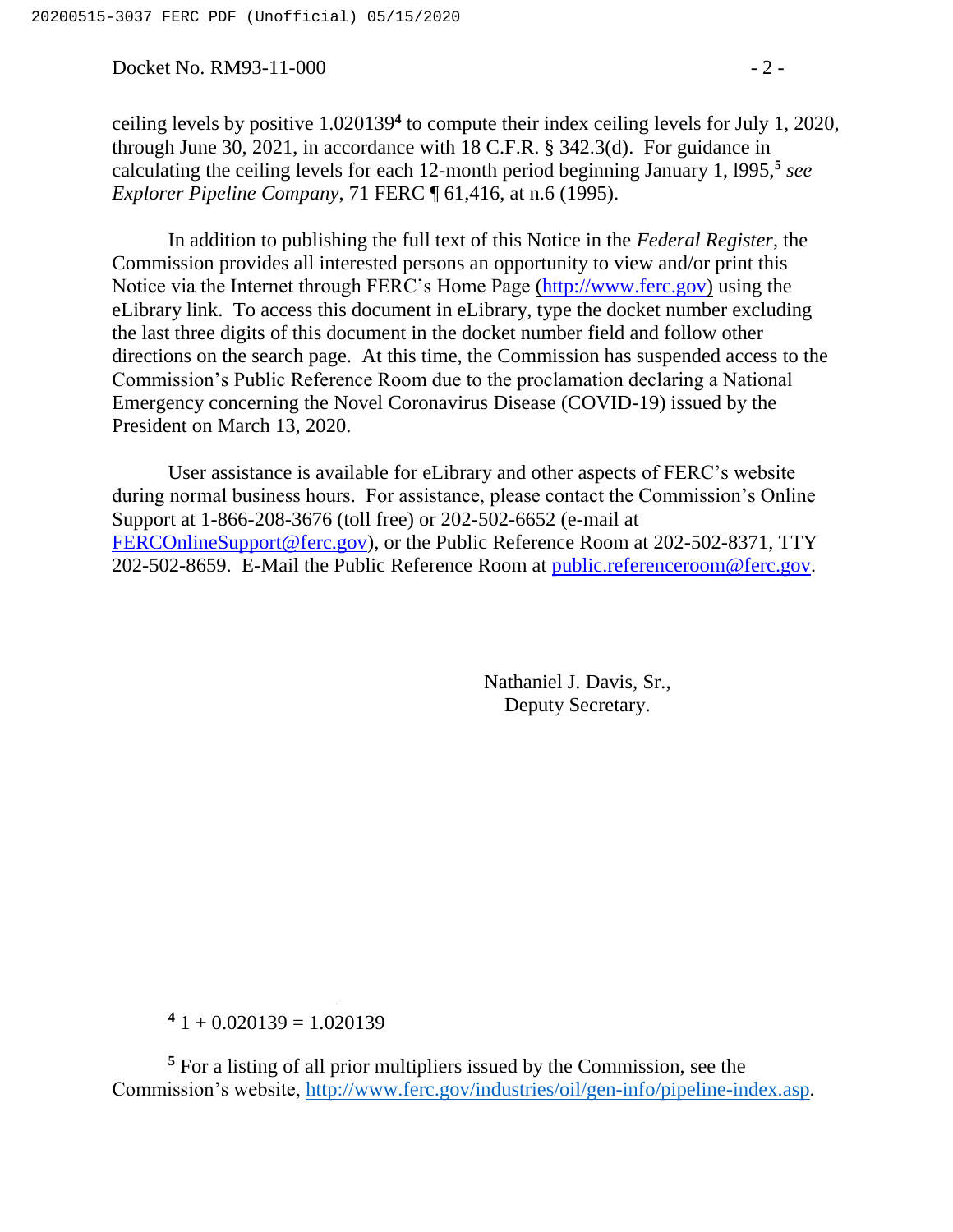Docket No. RM93-11-000 - 2 -

ceiling levels by positive 1.020139**<sup>4</sup>** to compute their index ceiling levels for July 1, 2020, through June 30, 2021, in accordance with 18 C.F.R. § 342.3(d). For guidance in calculating the ceiling levels for each 12-month period beginning January 1, l995,**<sup>5</sup>** *see Explorer Pipeline Company*, 71 FERC ¶ 61,416, at n.6 (1995).

In addition to publishing the full text of this Notice in the *Federal Register*, the Commission provides all interested persons an opportunity to view and/or print this Notice via the Internet through FERC's Home Page [\(http://www.ferc.gov\)](http://www.ferc.gov/) using the eLibrary link. To access this document in eLibrary, type the docket number excluding the last three digits of this document in the docket number field and follow other directions on the search page. At this time, the Commission has suspended access to the Commission's Public Reference Room due to the proclamation declaring a National Emergency concerning the Novel Coronavirus Disease (COVID-19) issued by the President on March 13, 2020.

User assistance is available for eLibrary and other aspects of FERC's website during normal business hours. For assistance, please contact the Commission's Online Support at 1-866-208-3676 (toll free) or 202-502-6652 (e-mail at [FERCOnlineSupport@ferc.gov\)](mailto:FERCOnlineSupport@ferc.gov), or the Public Reference Room at 202-502-8371, TTY 202-502-8659. E-Mail the Public Reference Room at [public.referenceroom@ferc.gov.](mailto:public.referenceroom@ferc.gov)

> Nathaniel J. Davis, Sr., Deputy Secretary.

 $\overline{a}$ 

 $41 + 0.020139 = 1.020139$ 

**<sup>5</sup>** For a listing of all prior multipliers issued by the Commission, see the Commission's website, [http://www.ferc.gov/industries/oil/gen-info/pipeline-index.asp.](http://www.ferc.gov/industries/oil/gen-info/pipeline-index.asp)